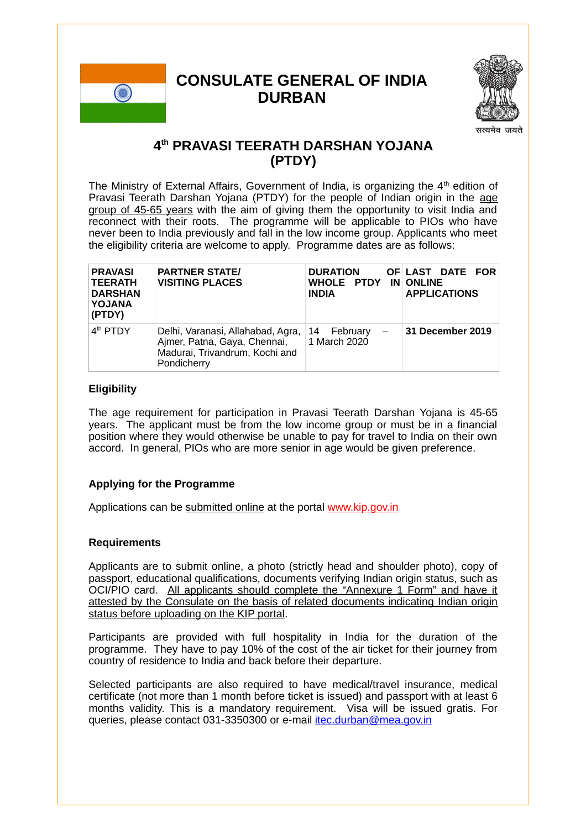# **CONSULATE GENERAL OF INDIA DURBAN**



## **4th PRAVASI TEERATH DARSHAN YOJANA (PTDY)**

The Ministry of External Affairs, Government of India, is organizing the  $4<sup>th</sup>$  edition of Pravasi Teerath Darshan Yojana (PTDY) for the people of Indian origin in the age group of 45-65 years with the aim of giving them the opportunity to visit India and reconnect with their roots. The programme will be applicable to PIOs who have never been to India previously and fall in the low income group. Applicants who meet the eligibility criteria are welcome to apply. Programme dates are as follows:

| <b>PRAVASI</b><br><b>TEERATH</b><br><b>DARSHAN</b><br>YOJANA<br>(PTDY) | <b>PARTNER STATE/</b><br><b>VISITING PLACES</b>                                                                    | <b>DURATION</b><br>WHOLE PTDY IN ONLINE<br><b>INDIA</b>    | OF LAST DATE FOR<br><b>APPLICATIONS</b> |
|------------------------------------------------------------------------|--------------------------------------------------------------------------------------------------------------------|------------------------------------------------------------|-----------------------------------------|
| 4 <sup>th</sup> PTDY                                                   | Delhi, Varanasi, Allahabad, Agra,<br>Ajmer, Patna, Gaya, Chennai,<br>Madurai, Trivandrum, Kochi and<br>Pondicherry | February<br>14<br>$\overline{\phantom{m}}$<br>1 March 2020 | 31 December 2019                        |

#### **Eligibility**

The age requirement for participation in Pravasi Teerath Darshan Yojana is 45-65 years. The applicant must be from the low income group or must be in a financial position where they would otherwise be unable to pay for travel to India on their own accord. In general, PIOs who are more senior in age would be given preference.

### **Applying for the Programme**

Applications can be submitted online at the portal www.kip.gov.in

#### **Requirements**

Applicants are to submit online, a photo (strictly head and shoulder photo), copy of passport, educational qualifications, documents verifying Indian origin status, such as OCI/PIO card. All applicants should complete the "Annexure 1 Form" and have it attested by the Consulate on the basis of related documents indicating Indian origin status before uploading on the KIP portal.

Participants are provided with full hospitality in India for the duration of the programme. They have to pay 10% of the cost of the air ticket for their journey from country of residence to India and back before their departure.

Selected participants are also required to have medical/travel insurance, medical certificate (not more than 1 month before ticket is issued) and passport with at least 6 months validity. This is a mandatory requirement. Visa will be issued gratis. For queries, please contact 031-3350300 or e-mail itec.durban@mea.gov.in